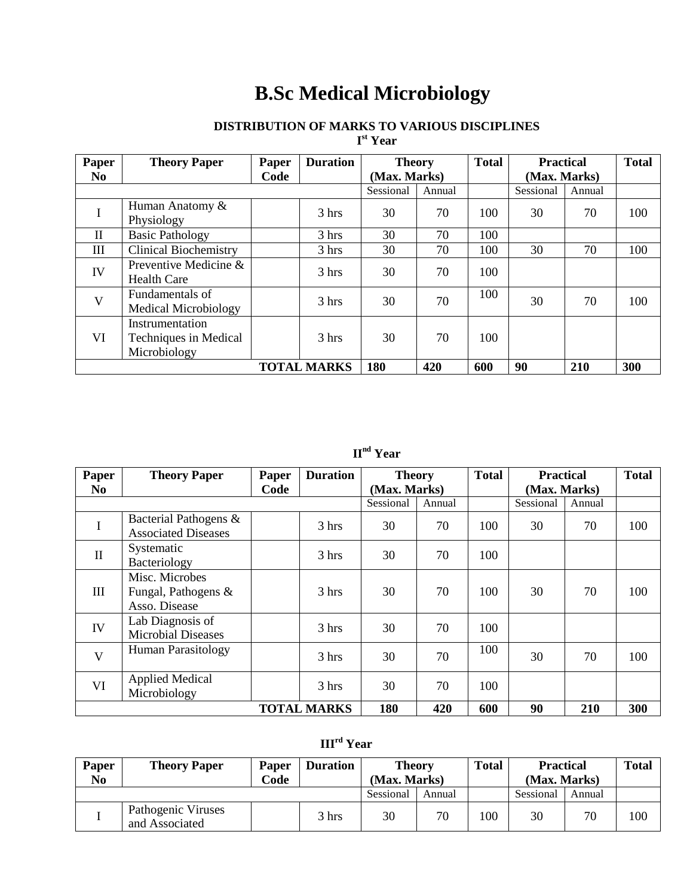# **B.Sc Medical Microbiology**

### **DISTRIBUTION OF MARKS TO VARIOUS DISCIPLINES**

**I st Year**

| Paper              | <b>Theory Paper</b>          | Paper | <b>Duration</b> | <b>Theory</b> |        | <b>Total</b> | <b>Practical</b> |          | <b>Total</b> |
|--------------------|------------------------------|-------|-----------------|---------------|--------|--------------|------------------|----------|--------------|
| N <sub>0</sub>     |                              | Code  |                 | (Max. Marks)  |        |              | (Max. Marks)     |          |              |
|                    |                              |       |                 | Sessional     | Annual |              | Sessional        | Annual   |              |
|                    | Human Anatomy &              |       | $3 \text{ hrs}$ | 30            | 70     | 100          | 30               |          | 100          |
| I                  | Physiology                   |       |                 |               |        |              |                  |          |              |
| $\mathbf{I}$       | <b>Basic Pathology</b>       |       | $3 \text{ hrs}$ | 30            | 70     | 100          |                  |          |              |
| III                | <b>Clinical Biochemistry</b> |       | 3 hrs           | 30            | 70     | 100          | 30               | 70       | 100          |
| IV                 | Preventive Medicine &        |       | 3 hrs           | 30            | 70     | 100          |                  |          |              |
|                    | <b>Health Care</b>           |       |                 |               |        |              |                  | 70<br>70 |              |
| V                  | Fundamentals of              |       | 3 hrs           | 30            | 70     | 100          | 30               |          | 100          |
|                    | <b>Medical Microbiology</b>  |       |                 |               |        |              |                  |          |              |
|                    | Instrumentation              |       |                 |               |        |              |                  |          |              |
| VI                 | Techniques in Medical        |       | $3 \text{ hrs}$ | 30            | 70     | 100          |                  |          |              |
|                    | Microbiology                 |       |                 |               |        |              |                  |          |              |
| <b>TOTAL MARKS</b> |                              |       |                 | 180           | 420    | 600          | 90               | 210      | 300          |

# **IInd Year**

| Paper              | <b>Theory Paper</b>                                    | Paper | <b>Duration</b> | <b>Theory</b> |     | <b>Total</b> | <b>Practical</b> |     | <b>Total</b> |
|--------------------|--------------------------------------------------------|-------|-----------------|---------------|-----|--------------|------------------|-----|--------------|
| N <sub>0</sub>     |                                                        | Code  |                 | (Max. Marks)  |     |              | (Max. Marks)     |     |              |
|                    |                                                        |       | Sessional       | Annual        |     | Sessional    | Annual           |     |              |
| I                  | Bacterial Pathogens &<br><b>Associated Diseases</b>    |       | 3 hrs           | 30            | 70  | 100          | 30               | 70  | 100          |
| $\mathbf{I}$       | Systematic<br>Bacteriology                             |       | 3 hrs           | 30            | 70  | 100          |                  |     |              |
| III                | Misc. Microbes<br>Fungal, Pathogens &<br>Asso. Disease |       | $3 \text{ hrs}$ | 30            | 70  | 100          | 30               | 70  | 100          |
| IV                 | Lab Diagnosis of<br><b>Microbial Diseases</b>          |       | 3 hrs           | 30            | 70  | 100          |                  |     |              |
| V                  | <b>Human Parasitology</b>                              |       | 3 hrs           | 30            | 70  | 100          | 30               | 70  | 100          |
| VI                 | <b>Applied Medical</b><br>Microbiology                 |       | 3 hrs           | 30            | 70  | 100          |                  |     |              |
| <b>TOTAL MARKS</b> |                                                        |       |                 | 180           | 420 | 600          | 90               | 210 | 300          |

# **IIIrd Year**

| <b>Paper</b><br>N <sub>0</sub> | <b>Theory Paper</b>                  | Paper<br>Code | <b>Duration</b> | <b>Theory</b><br>(Max. Marks) |        | <b>Total</b> | <b>Practical</b><br>(Max. Marks) |        | <b>Total</b> |
|--------------------------------|--------------------------------------|---------------|-----------------|-------------------------------|--------|--------------|----------------------------------|--------|--------------|
|                                |                                      |               |                 | Sessional                     | Annual |              | Sessional                        | Annual |              |
|                                | Pathogenic Viruses<br>and Associated |               | 3 hrs           | 30                            | 70     | 100          | 30                               | 70     | 100          |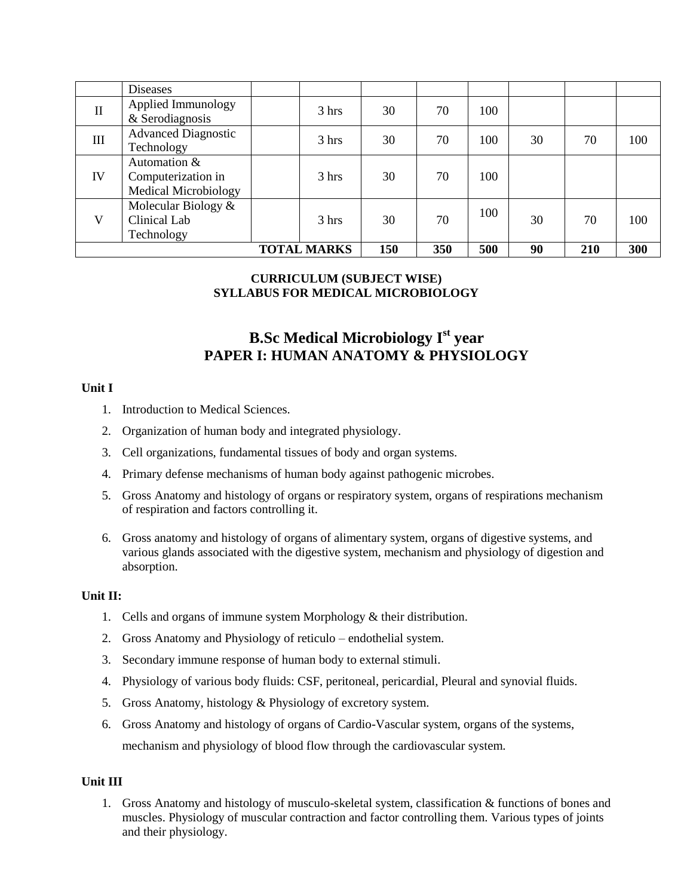|                    | <b>Diseases</b>                                                   |  |                 |     |     |     |     |     |     |
|--------------------|-------------------------------------------------------------------|--|-----------------|-----|-----|-----|-----|-----|-----|
| $\mathbf{I}$       | Applied Immunology<br>& Serodiagnosis                             |  | 3 hrs           | 30  | 70  | 100 |     |     |     |
| Ш                  | <b>Advanced Diagnostic</b><br>Technology                          |  | $3 \text{ hrs}$ | 30  | 70  | 100 | 30  | 70  | 100 |
| IV                 | Automation &<br>Computerization in<br><b>Medical Microbiology</b> |  | 3 hrs           | 30  | 70  | 100 |     |     |     |
| V                  | Molecular Biology $&$<br>Clinical Lab<br>Technology               |  | $3 \text{ hrs}$ | 30  | 70  | 100 | 30  | 70  | 100 |
| <b>TOTAL MARKS</b> |                                                                   |  | 150             | 350 | 500 | 90  | 210 | 300 |     |

#### **CURRICULUM (SUBJECT WISE) SYLLABUS FOR MEDICAL MICROBIOLOGY**

# **B.Sc Medical Microbiology Ist year PAPER I: HUMAN ANATOMY & PHYSIOLOGY**

#### **Unit I**

- 1. Introduction to Medical Sciences.
- 2. Organization of human body and integrated physiology.
- 3. Cell organizations, fundamental tissues of body and organ systems.
- 4. Primary defense mechanisms of human body against pathogenic microbes.
- 5. Gross Anatomy and histology of organs or respiratory system, organs of respirations mechanism of respiration and factors controlling it.
- 6. Gross anatomy and histology of organs of alimentary system, organs of digestive systems, and various glands associated with the digestive system, mechanism and physiology of digestion and absorption.

#### **Unit II:**

- 1. Cells and organs of immune system Morphology & their distribution.
- 2. Gross Anatomy and Physiology of reticulo endothelial system.
- 3. Secondary immune response of human body to external stimuli.
- 4. Physiology of various body fluids: CSF, peritoneal, pericardial, Pleural and synovial fluids.
- 5. Gross Anatomy, histology & Physiology of excretory system.
- 6. Gross Anatomy and histology of organs of Cardio-Vascular system, organs of the systems, mechanism and physiology of blood flow through the cardiovascular system.

#### **Unit III**

1. Gross Anatomy and histology of musculo-skeletal system, classification & functions of bones and muscles. Physiology of muscular contraction and factor controlling them. Various types of joints and their physiology.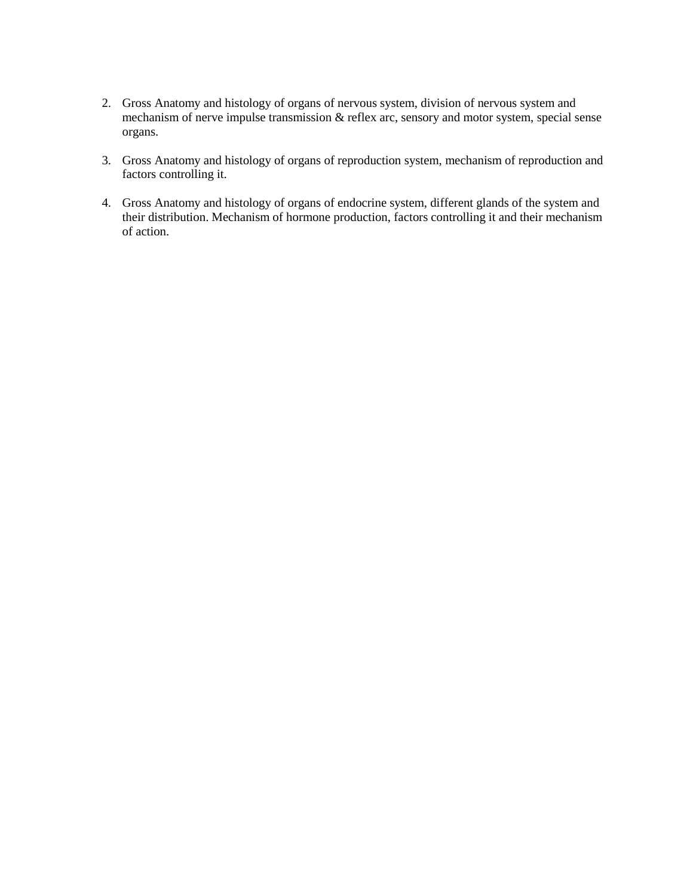- 2. Gross Anatomy and histology of organs of nervous system, division of nervous system and mechanism of nerve impulse transmission & reflex arc, sensory and motor system, special sense organs.
- 3. Gross Anatomy and histology of organs of reproduction system, mechanism of reproduction and factors controlling it.
- 4. Gross Anatomy and histology of organs of endocrine system, different glands of the system and their distribution. Mechanism of hormone production, factors controlling it and their mechanism of action.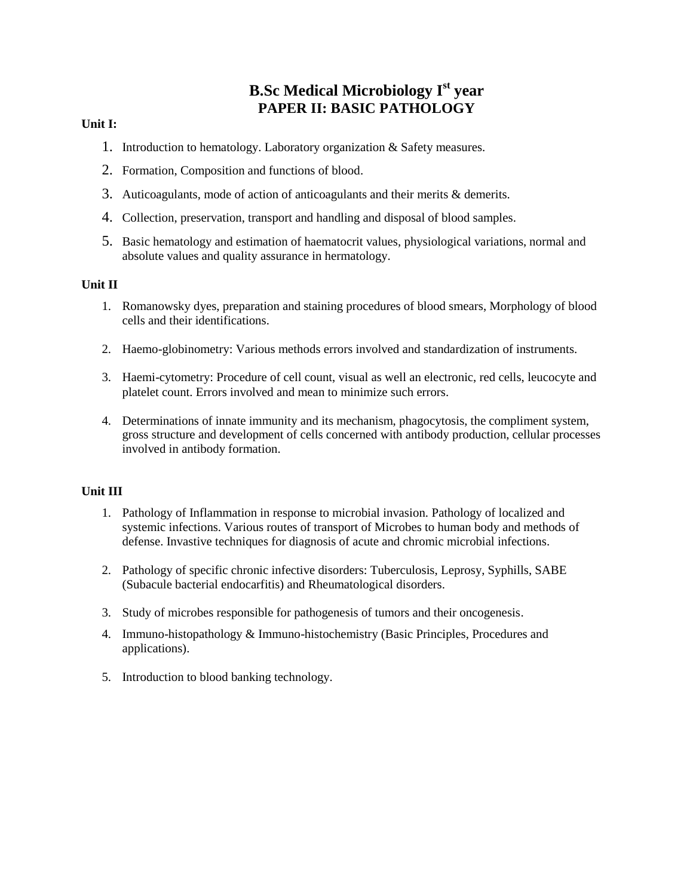# **B.Sc Medical Microbiology Ist year PAPER II: BASIC PATHOLOGY**

#### **Unit I:**

- 1. Introduction to hematology. Laboratory organization & Safety measures.
- 2. Formation, Composition and functions of blood.
- 3. Auticoagulants, mode of action of anticoagulants and their merits & demerits.
- 4. Collection, preservation, transport and handling and disposal of blood samples.
- 5. Basic hematology and estimation of haematocrit values, physiological variations, normal and absolute values and quality assurance in hermatology.

#### **Unit II**

- 1. Romanowsky dyes, preparation and staining procedures of blood smears, Morphology of blood cells and their identifications.
- 2. Haemo-globinometry: Various methods errors involved and standardization of instruments.
- 3. Haemi-cytometry: Procedure of cell count, visual as well an electronic, red cells, leucocyte and platelet count. Errors involved and mean to minimize such errors.
- 4. Determinations of innate immunity and its mechanism, phagocytosis, the compliment system, gross structure and development of cells concerned with antibody production, cellular processes involved in antibody formation.

- 1. Pathology of Inflammation in response to microbial invasion. Pathology of localized and systemic infections. Various routes of transport of Microbes to human body and methods of defense. Invastive techniques for diagnosis of acute and chromic microbial infections.
- 2. Pathology of specific chronic infective disorders: Tuberculosis, Leprosy, Syphills, SABE (Subacule bacterial endocarfitis) and Rheumatological disorders.
- 3. Study of microbes responsible for pathogenesis of tumors and their oncogenesis.
- 4. Immuno-histopathology & Immuno-histochemistry (Basic Principles, Procedures and applications).
- 5. Introduction to blood banking technology.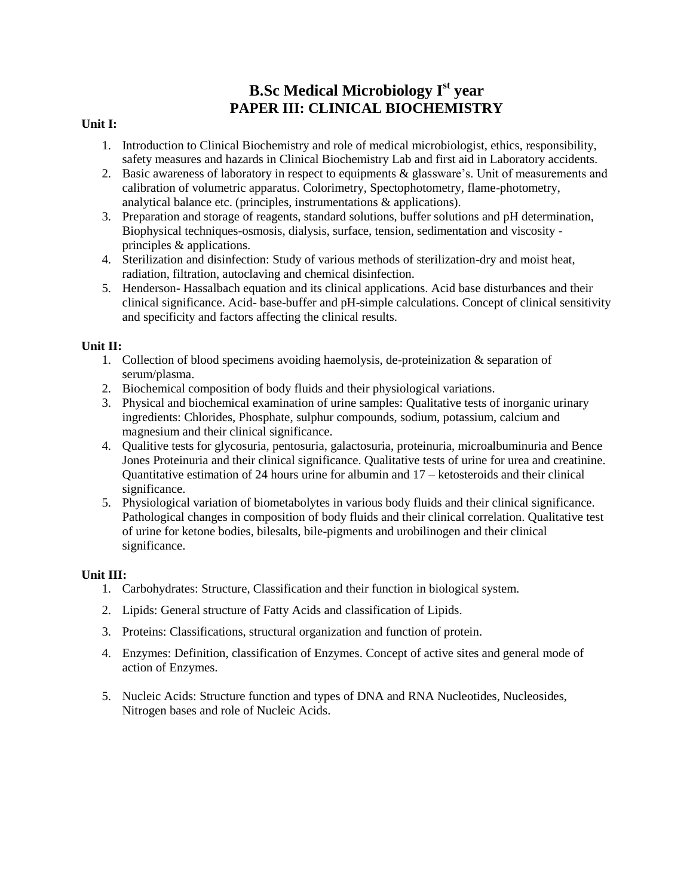# **B.Sc Medical Microbiology Ist year PAPER III: CLINICAL BIOCHEMISTRY**

#### **Unit I:**

- 1. Introduction to Clinical Biochemistry and role of medical microbiologist, ethics, responsibility, safety measures and hazards in Clinical Biochemistry Lab and first aid in Laboratory accidents.
- 2. Basic awareness of laboratory in respect to equipments & glassware's. Unit of measurements and calibration of volumetric apparatus. Colorimetry, Spectophotometry, flame-photometry, analytical balance etc. (principles, instrumentations & applications).
- 3. Preparation and storage of reagents, standard solutions, buffer solutions and pH determination, Biophysical techniques-osmosis, dialysis, surface, tension, sedimentation and viscosity principles & applications.
- 4. Sterilization and disinfection: Study of various methods of sterilization-dry and moist heat, radiation, filtration, autoclaving and chemical disinfection.
- 5. Henderson- Hassalbach equation and its clinical applications. Acid base disturbances and their clinical significance. Acid- base-buffer and pH-simple calculations. Concept of clinical sensitivity and specificity and factors affecting the clinical results.

#### **Unit II:**

- 1. Collection of blood specimens avoiding haemolysis, de-proteinization & separation of serum/plasma.
- 2. Biochemical composition of body fluids and their physiological variations.
- 3. Physical and biochemical examination of urine samples: Qualitative tests of inorganic urinary ingredients: Chlorides, Phosphate, sulphur compounds, sodium, potassium, calcium and magnesium and their clinical significance.
- 4. Qualitive tests for glycosuria, pentosuria, galactosuria, proteinuria, microalbuminuria and Bence Jones Proteinuria and their clinical significance. Qualitative tests of urine for urea and creatinine. Quantitative estimation of 24 hours urine for albumin and  $17 -$  ketosteroids and their clinical significance.
- 5. Physiological variation of biometabolytes in various body fluids and their clinical significance. Pathological changes in composition of body fluids and their clinical correlation. Qualitative test of urine for ketone bodies, bilesalts, bile-pigments and urobilinogen and their clinical significance.

- 1. Carbohydrates: Structure, Classification and their function in biological system.
- 2. Lipids: General structure of Fatty Acids and classification of Lipids.
- 3. Proteins: Classifications, structural organization and function of protein.
- 4. Enzymes: Definition, classification of Enzymes. Concept of active sites and general mode of action of Enzymes.
- 5. Nucleic Acids: Structure function and types of DNA and RNA Nucleotides, Nucleosides, Nitrogen bases and role of Nucleic Acids.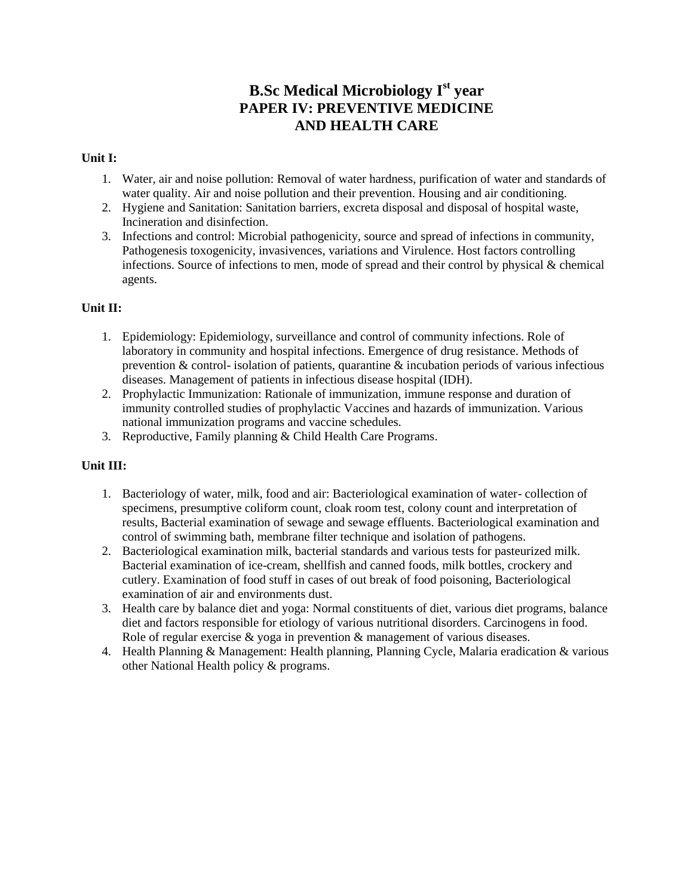# **B.Sc Medical Microbiology Ist year PAPER IV: PREVENTIVE MEDICINE AND HEALTH CARE**

#### **Unit I:**

- 1. Water, air and noise pollution: Removal of water hardness, purification of water and standards of water quality. Air and noise pollution and their prevention. Housing and air conditioning.
- 2. Hygiene and Sanitation: Sanitation barriers, excreta disposal and disposal of hospital waste, Incineration and disinfection.
- 3. Infections and control: Microbial pathogenicity, source and spread of infections in community, Pathogenesis toxogenicity, invasivences, variations and Virulence. Host factors controlling infections. Source of infections to men, mode of spread and their control by physical & chemical agents.

#### **Unit II:**

- 1. Epidemiology: Epidemiology, surveillance and control of community infections. Role of laboratory in community and hospital infections. Emergence of drug resistance. Methods of prevention & control- isolation of patients, quarantine & incubation periods of various infectious diseases. Management of patients in infectious disease hospital (IDH).
- 2. Prophylactic Immunization: Rationale of immunization, immune response and duration of immunity controlled studies of prophylactic Vaccines and hazards of immunization. Various national immunization programs and vaccine schedules.
- 3. Reproductive, Family planning & Child Health Care Programs.

- 1. Bacteriology of water, milk, food and air: Bacteriological examination of water- collection of specimens, presumptive coliform count, cloak room test, colony count and interpretation of results, Bacterial examination of sewage and sewage effluents. Bacteriological examination and control of swimming bath, membrane filter technique and isolation of pathogens.
- 2. Bacteriological examination milk, bacterial standards and various tests for pasteurized milk. Bacterial examination of ice-cream, shellfish and canned foods, milk bottles, crockery and cutlery. Examination of food stuff in cases of out break of food poisoning, Bacteriological examination of air and environments dust.
- 3. Health care by balance diet and yoga: Normal constituents of diet, various diet programs, balance diet and factors responsible for etiology of various nutritional disorders. Carcinogens in food. Role of regular exercise & yoga in prevention & management of various diseases.
- 4. Health Planning & Management: Health planning, Planning Cycle, Malaria eradication & various other National Health policy & programs.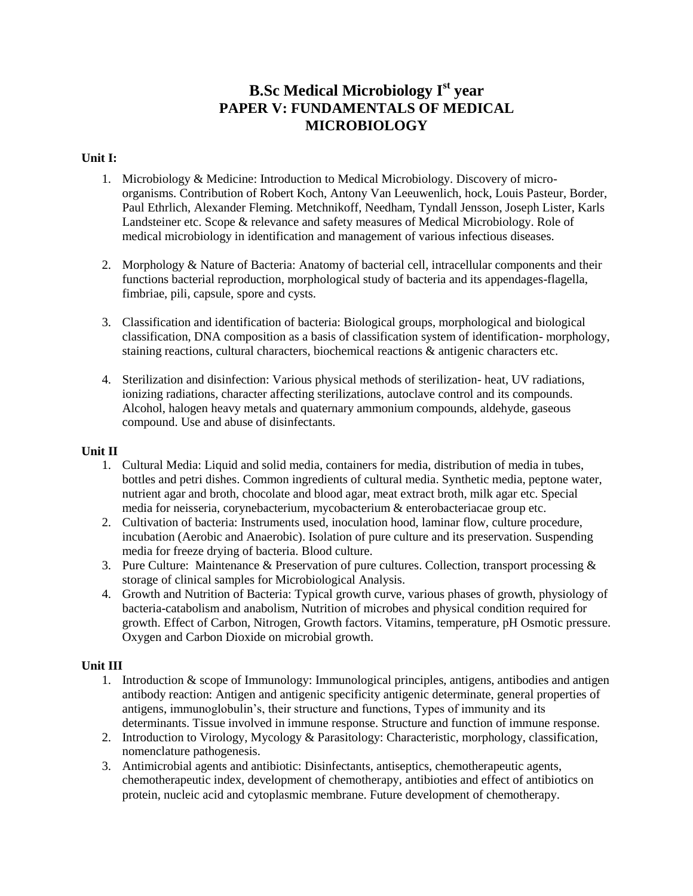# **B.Sc Medical Microbiology Ist year PAPER V: FUNDAMENTALS OF MEDICAL MICROBIOLOGY**

#### **Unit I:**

- 1. Microbiology & Medicine: Introduction to Medical Microbiology. Discovery of microorganisms. Contribution of Robert Koch, Antony Van Leeuwenlich, hock, Louis Pasteur, Border, Paul Ethrlich, Alexander Fleming. Metchnikoff, Needham, Tyndall Jensson, Joseph Lister, Karls Landsteiner etc. Scope & relevance and safety measures of Medical Microbiology. Role of medical microbiology in identification and management of various infectious diseases.
- 2. Morphology & Nature of Bacteria: Anatomy of bacterial cell, intracellular components and their functions bacterial reproduction, morphological study of bacteria and its appendages-flagella, fimbriae, pili, capsule, spore and cysts.
- 3. Classification and identification of bacteria: Biological groups, morphological and biological classification, DNA composition as a basis of classification system of identification- morphology, staining reactions, cultural characters, biochemical reactions & antigenic characters etc.
- 4. Sterilization and disinfection: Various physical methods of sterilization- heat, UV radiations, ionizing radiations, character affecting sterilizations, autoclave control and its compounds. Alcohol, halogen heavy metals and quaternary ammonium compounds, aldehyde, gaseous compound. Use and abuse of disinfectants.

#### **Unit II**

- 1. Cultural Media: Liquid and solid media, containers for media, distribution of media in tubes, bottles and petri dishes. Common ingredients of cultural media. Synthetic media, peptone water, nutrient agar and broth, chocolate and blood agar, meat extract broth, milk agar etc. Special media for neisseria, corynebacterium, mycobacterium & enterobacteriacae group etc.
- 2. Cultivation of bacteria: Instruments used, inoculation hood, laminar flow, culture procedure, incubation (Aerobic and Anaerobic). Isolation of pure culture and its preservation. Suspending media for freeze drying of bacteria. Blood culture.
- 3. Pure Culture: Maintenance & Preservation of pure cultures. Collection, transport processing  $\&$ storage of clinical samples for Microbiological Analysis.
- 4. Growth and Nutrition of Bacteria: Typical growth curve, various phases of growth, physiology of bacteria-catabolism and anabolism, Nutrition of microbes and physical condition required for growth. Effect of Carbon, Nitrogen, Growth factors. Vitamins, temperature, pH Osmotic pressure. Oxygen and Carbon Dioxide on microbial growth.

- 1. Introduction & scope of Immunology: Immunological principles, antigens, antibodies and antigen antibody reaction: Antigen and antigenic specificity antigenic determinate, general properties of antigens, immunoglobulin's, their structure and functions, Types of immunity and its determinants. Tissue involved in immune response. Structure and function of immune response.
- 2. Introduction to Virology, Mycology & Parasitology: Characteristic, morphology, classification, nomenclature pathogenesis.
- 3. Antimicrobial agents and antibiotic: Disinfectants, antiseptics, chemotherapeutic agents, chemotherapeutic index, development of chemotherapy, antibioties and effect of antibiotics on protein, nucleic acid and cytoplasmic membrane. Future development of chemotherapy.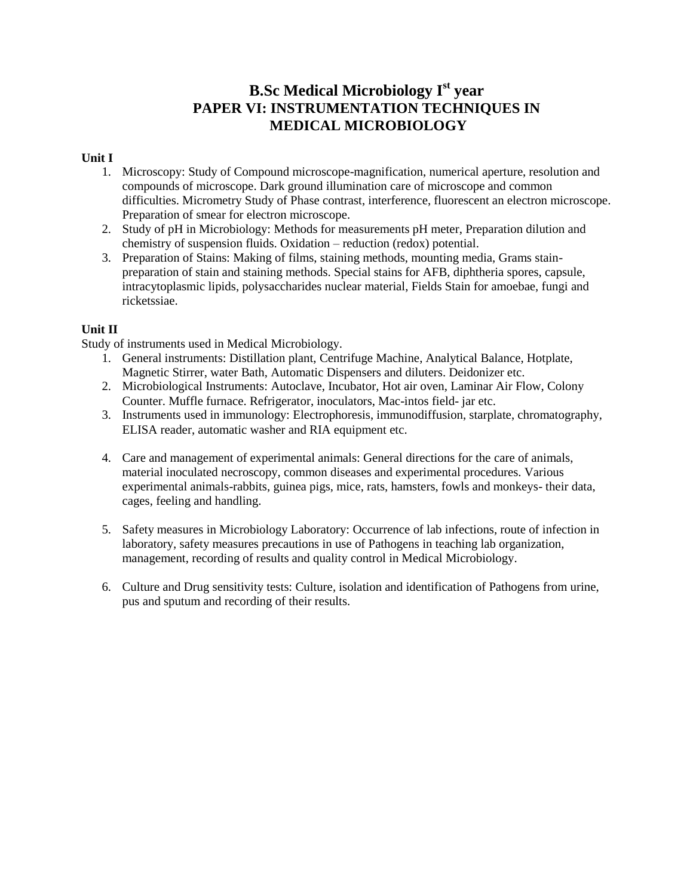## **B.Sc Medical Microbiology Ist year PAPER VI: INSTRUMENTATION TECHNIQUES IN MEDICAL MICROBIOLOGY**

#### **Unit I**

- 1. Microscopy: Study of Compound microscope-magnification, numerical aperture, resolution and compounds of microscope. Dark ground illumination care of microscope and common difficulties. Micrometry Study of Phase contrast, interference, fluorescent an electron microscope. Preparation of smear for electron microscope.
- 2. Study of pH in Microbiology: Methods for measurements pH meter, Preparation dilution and chemistry of suspension fluids. Oxidation – reduction (redox) potential.
- 3. Preparation of Stains: Making of films, staining methods, mounting media, Grams stainpreparation of stain and staining methods. Special stains for AFB, diphtheria spores, capsule, intracytoplasmic lipids, polysaccharides nuclear material, Fields Stain for amoebae, fungi and ricketssiae.

#### **Unit II**

Study of instruments used in Medical Microbiology.

- 1. General instruments: Distillation plant, Centrifuge Machine, Analytical Balance, Hotplate, Magnetic Stirrer, water Bath, Automatic Dispensers and diluters. Deidonizer etc.
- 2. Microbiological Instruments: Autoclave, Incubator, Hot air oven, Laminar Air Flow, Colony Counter. Muffle furnace. Refrigerator, inoculators, Mac-intos field- jar etc.
- 3. Instruments used in immunology: Electrophoresis, immunodiffusion, starplate, chromatography, ELISA reader, automatic washer and RIA equipment etc.
- 4. Care and management of experimental animals: General directions for the care of animals, material inoculated necroscopy, common diseases and experimental procedures. Various experimental animals-rabbits, guinea pigs, mice, rats, hamsters, fowls and monkeys- their data, cages, feeling and handling.
- 5. Safety measures in Microbiology Laboratory: Occurrence of lab infections, route of infection in laboratory, safety measures precautions in use of Pathogens in teaching lab organization, management, recording of results and quality control in Medical Microbiology.
- 6. Culture and Drug sensitivity tests: Culture, isolation and identification of Pathogens from urine, pus and sputum and recording of their results.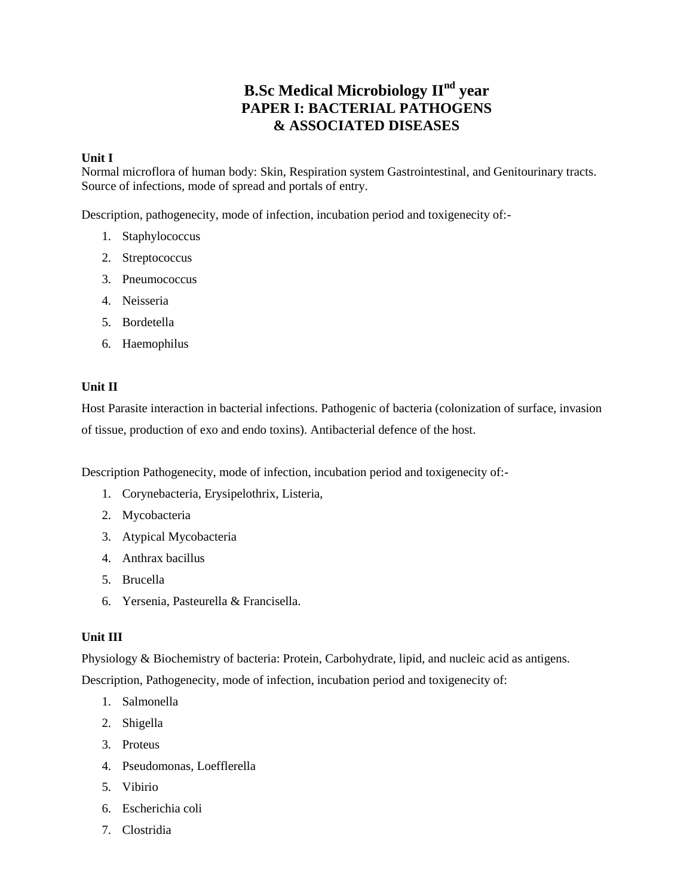# **B.Sc Medical Microbiology IInd year PAPER I: BACTERIAL PATHOGENS & ASSOCIATED DISEASES**

#### **Unit I**

Normal microflora of human body: Skin, Respiration system Gastrointestinal, and Genitourinary tracts. Source of infections, mode of spread and portals of entry.

Description, pathogenecity, mode of infection, incubation period and toxigenecity of:-

- 1. Staphylococcus
- 2. Streptococcus
- 3. Pneumococcus
- 4. Neisseria
- 5. Bordetella
- 6. Haemophilus

#### **Unit II**

Host Parasite interaction in bacterial infections. Pathogenic of bacteria (colonization of surface, invasion of tissue, production of exo and endo toxins). Antibacterial defence of the host.

Description Pathogenecity, mode of infection, incubation period and toxigenecity of:-

- 1. Corynebacteria, Erysipelothrix, Listeria,
- 2. Mycobacteria
- 3. Atypical Mycobacteria
- 4. Anthrax bacillus
- 5. Brucella
- 6. Yersenia, Pasteurella & Francisella.

#### **Unit III**

Physiology & Biochemistry of bacteria: Protein, Carbohydrate, lipid, and nucleic acid as antigens.

Description, Pathogenecity, mode of infection, incubation period and toxigenecity of:

- 1. Salmonella
- 2. Shigella
- 3. Proteus
- 4. Pseudomonas, Loefflerella
- 5. Vibirio
- 6. Escherichia coli
- 7. Clostridia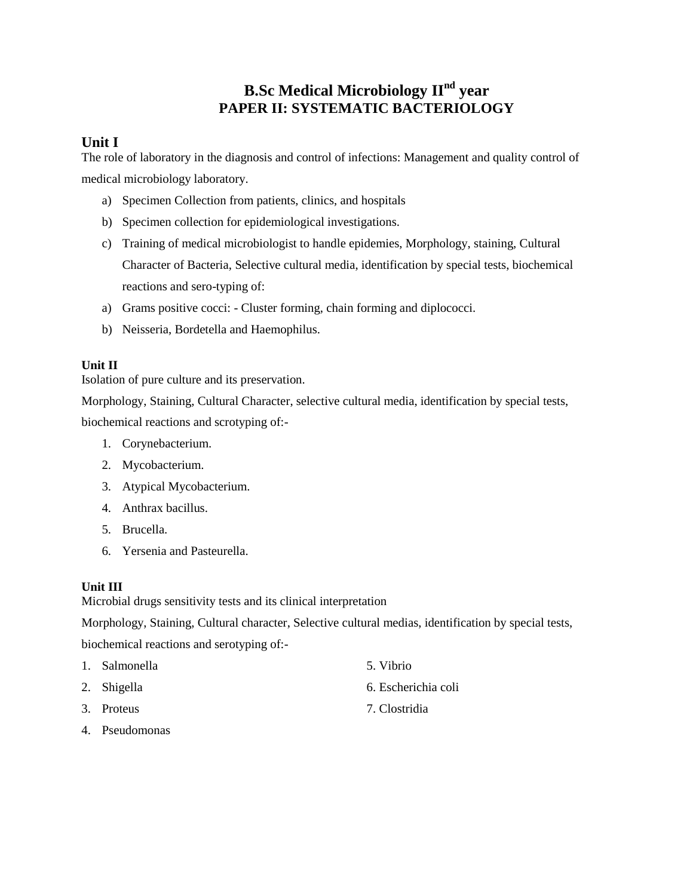# **B.Sc Medical Microbiology IInd year PAPER II: SYSTEMATIC BACTERIOLOGY**

### **Unit I**

The role of laboratory in the diagnosis and control of infections: Management and quality control of medical microbiology laboratory.

- a) Specimen Collection from patients, clinics, and hospitals
- b) Specimen collection for epidemiological investigations.
- c) Training of medical microbiologist to handle epidemies, Morphology, staining, Cultural Character of Bacteria, Selective cultural media, identification by special tests, biochemical reactions and sero-typing of:
- a) Grams positive cocci: Cluster forming, chain forming and diplococci.
- b) Neisseria, Bordetella and Haemophilus.

#### **Unit II**

Isolation of pure culture and its preservation.

Morphology, Staining, Cultural Character, selective cultural media, identification by special tests, biochemical reactions and scrotyping of:-

- 1. Corynebacterium.
- 2. Mycobacterium.
- 3. Atypical Mycobacterium.
- 4. Anthrax bacillus.
- 5. Brucella.
- 6. Yersenia and Pasteurella.

#### **Unit III**

Microbial drugs sensitivity tests and its clinical interpretation

Morphology, Staining, Cultural character, Selective cultural medias, identification by special tests, biochemical reactions and serotyping of:-

- 1. Salmonella 5. Vibrio
- 
- 
- 4. Pseudomonas
- 
- 2. Shigella 6. Escherichia coli
- 3. Proteus 7. Clostridia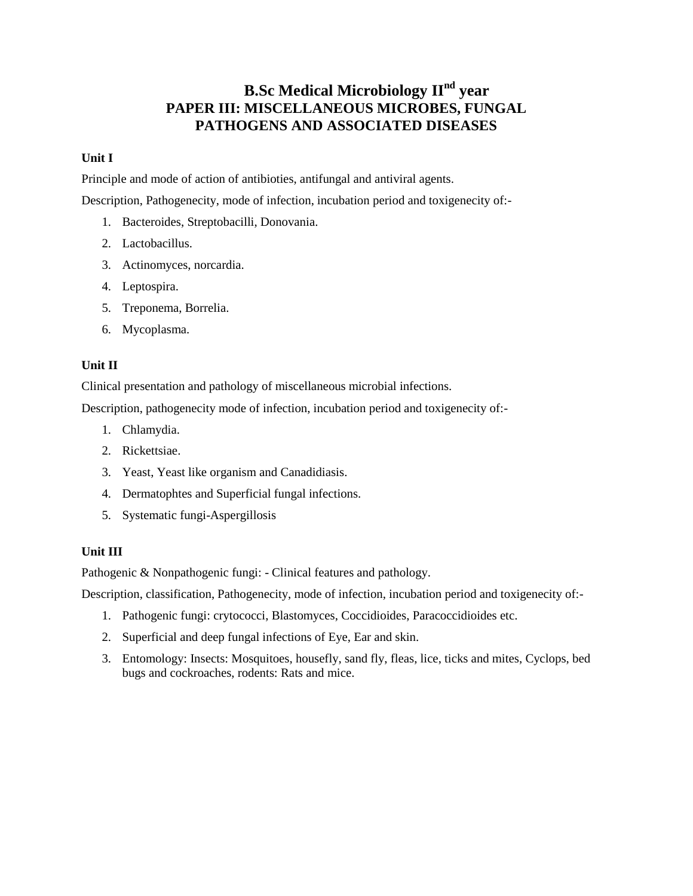# **B.Sc Medical Microbiology IInd year PAPER III: MISCELLANEOUS MICROBES, FUNGAL PATHOGENS AND ASSOCIATED DISEASES**

#### **Unit I**

Principle and mode of action of antibioties, antifungal and antiviral agents.

Description, Pathogenecity, mode of infection, incubation period and toxigenecity of:-

- 1. Bacteroides, Streptobacilli, Donovania.
- 2. Lactobacillus.
- 3. Actinomyces, norcardia.
- 4. Leptospira.
- 5. Treponema, Borrelia.
- 6. Mycoplasma.

#### **Unit II**

Clinical presentation and pathology of miscellaneous microbial infections.

Description, pathogenecity mode of infection, incubation period and toxigenecity of:-

- 1. Chlamydia.
- 2. Rickettsiae.
- 3. Yeast, Yeast like organism and Canadidiasis.
- 4. Dermatophtes and Superficial fungal infections.
- 5. Systematic fungi-Aspergillosis

#### **Unit III**

Pathogenic & Nonpathogenic fungi: - Clinical features and pathology.

Description, classification, Pathogenecity, mode of infection, incubation period and toxigenecity of:-

- 1. Pathogenic fungi: crytococci, Blastomyces, Coccidioides, Paracoccidioides etc.
- 2. Superficial and deep fungal infections of Eye, Ear and skin.
- 3. Entomology: Insects: Mosquitoes, housefly, sand fly, fleas, lice, ticks and mites, Cyclops, bed bugs and cockroaches, rodents: Rats and mice.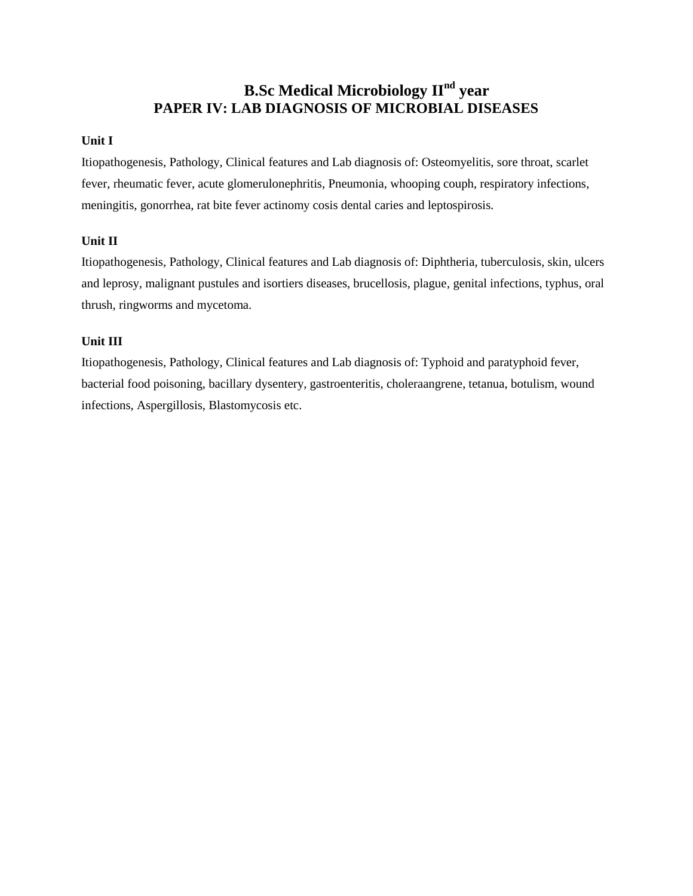# **B.Sc Medical Microbiology IInd year PAPER IV: LAB DIAGNOSIS OF MICROBIAL DISEASES**

#### **Unit I**

Itiopathogenesis, Pathology, Clinical features and Lab diagnosis of: Osteomyelitis, sore throat, scarlet fever, rheumatic fever, acute glomerulonephritis, Pneumonia, whooping couph, respiratory infections, meningitis, gonorrhea, rat bite fever actinomy cosis dental caries and leptospirosis.

#### **Unit II**

Itiopathogenesis, Pathology, Clinical features and Lab diagnosis of: Diphtheria, tuberculosis, skin, ulcers and leprosy, malignant pustules and isortiers diseases, brucellosis, plague, genital infections, typhus, oral thrush, ringworms and mycetoma.

#### **Unit III**

Itiopathogenesis, Pathology, Clinical features and Lab diagnosis of: Typhoid and paratyphoid fever, bacterial food poisoning, bacillary dysentery, gastroenteritis, choleraangrene, tetanua, botulism, wound infections, Aspergillosis, Blastomycosis etc.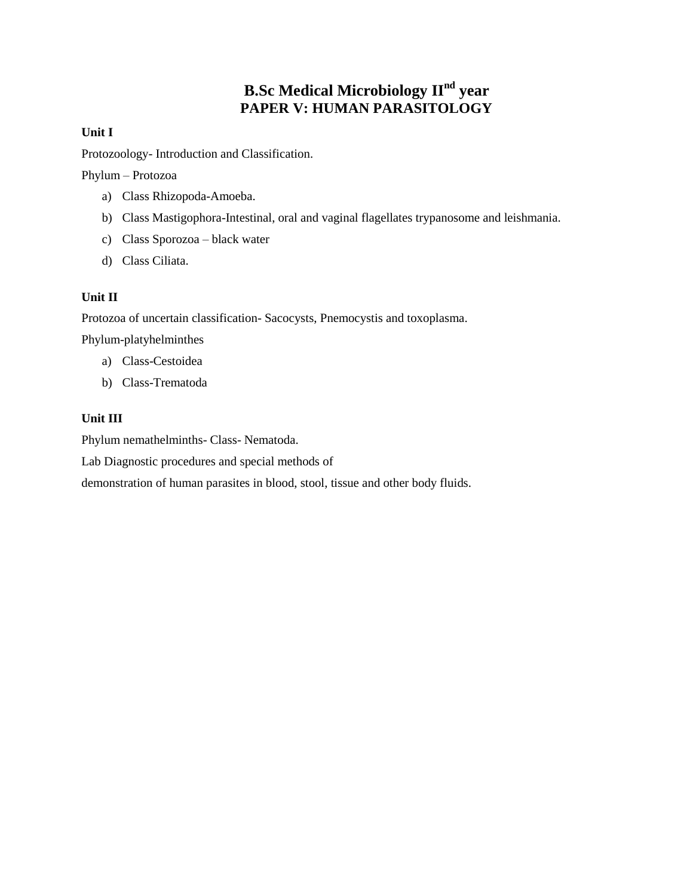# **B.Sc Medical Microbiology IInd year PAPER V: HUMAN PARASITOLOGY**

#### **Unit I**

Protozoology- Introduction and Classification.

Phylum – Protozoa

- a) Class Rhizopoda-Amoeba.
- b) Class Mastigophora-Intestinal, oral and vaginal flagellates trypanosome and leishmania.
- c) Class Sporozoa black water
- d) Class Ciliata.

#### **Unit II**

Protozoa of uncertain classification- Sacocysts, Pnemocystis and toxoplasma.

Phylum-platyhelminthes

- a) Class-Cestoidea
- b) Class-Trematoda

#### **Unit III**

Phylum nemathelminths- Class- Nematoda.

Lab Diagnostic procedures and special methods of

demonstration of human parasites in blood, stool, tissue and other body fluids.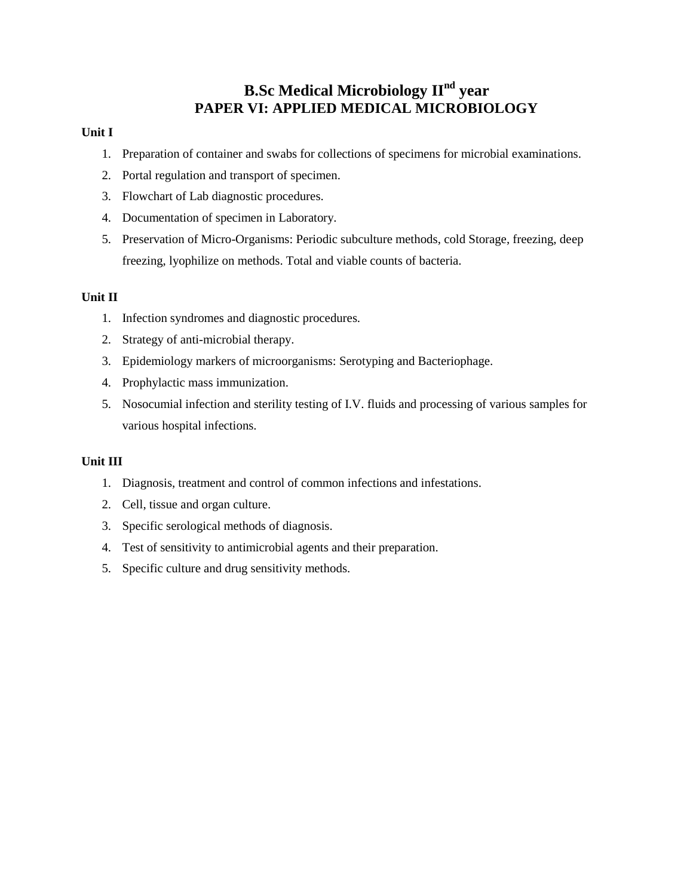# **B.Sc Medical Microbiology IInd year PAPER VI: APPLIED MEDICAL MICROBIOLOGY**

#### **Unit I**

- 1. Preparation of container and swabs for collections of specimens for microbial examinations.
- 2. Portal regulation and transport of specimen.
- 3. Flowchart of Lab diagnostic procedures.
- 4. Documentation of specimen in Laboratory.
- 5. Preservation of Micro-Organisms: Periodic subculture methods, cold Storage, freezing, deep freezing, lyophilize on methods. Total and viable counts of bacteria.

#### **Unit II**

- 1. Infection syndromes and diagnostic procedures.
- 2. Strategy of anti-microbial therapy.
- 3. Epidemiology markers of microorganisms: Serotyping and Bacteriophage.
- 4. Prophylactic mass immunization.
- 5. Nosocumial infection and sterility testing of I.V. fluids and processing of various samples for various hospital infections.

- 1. Diagnosis, treatment and control of common infections and infestations.
- 2. Cell, tissue and organ culture.
- 3. Specific serological methods of diagnosis.
- 4. Test of sensitivity to antimicrobial agents and their preparation.
- 5. Specific culture and drug sensitivity methods.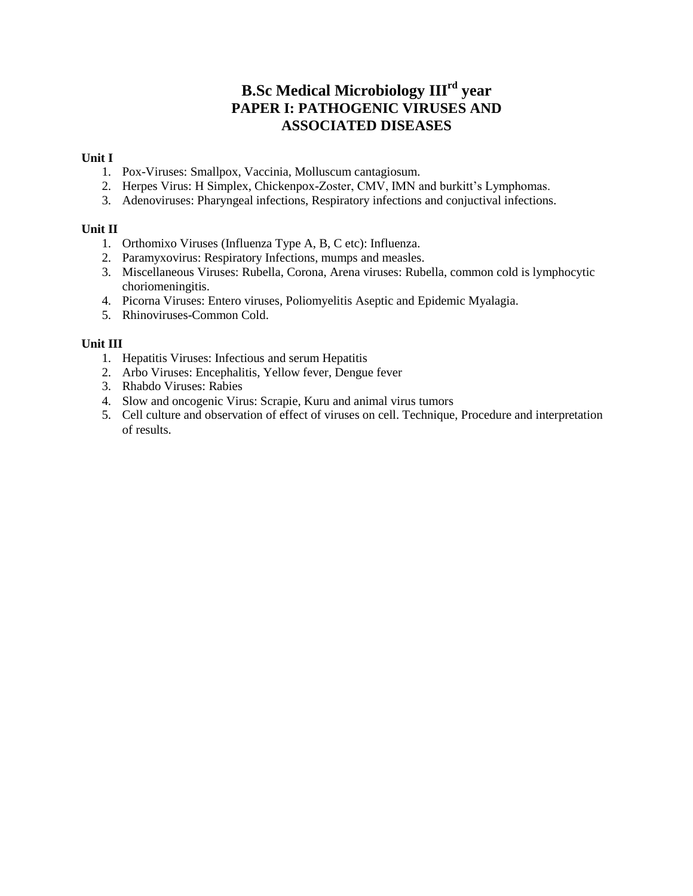# **B.Sc Medical Microbiology IIIrd year PAPER I: PATHOGENIC VIRUSES AND ASSOCIATED DISEASES**

#### **Unit I**

- 1. Pox-Viruses: Smallpox, Vaccinia, Molluscum cantagiosum.
- 2. Herpes Virus: H Simplex, Chickenpox-Zoster, CMV, IMN and burkitt's Lymphomas.
- 3. Adenoviruses: Pharyngeal infections, Respiratory infections and conjuctival infections.

#### **Unit II**

- 1. Orthomixo Viruses (Influenza Type A, B, C etc): Influenza.
- 2. Paramyxovirus: Respiratory Infections, mumps and measles.
- 3. Miscellaneous Viruses: Rubella, Corona, Arena viruses: Rubella, common cold is lymphocytic choriomeningitis.
- 4. Picorna Viruses: Entero viruses, Poliomyelitis Aseptic and Epidemic Myalagia.
- 5. Rhinoviruses-Common Cold.

- 1. Hepatitis Viruses: Infectious and serum Hepatitis
- 2. Arbo Viruses: Encephalitis, Yellow fever, Dengue fever
- 3. Rhabdo Viruses: Rabies
- 4. Slow and oncogenic Virus: Scrapie, Kuru and animal virus tumors
- 5. Cell culture and observation of effect of viruses on cell. Technique, Procedure and interpretation of results.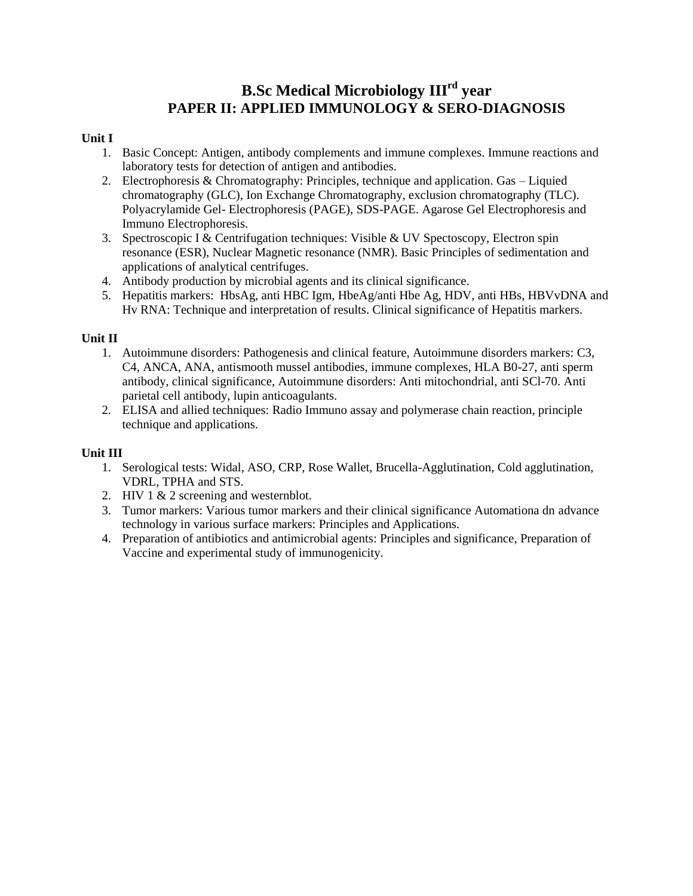# **B.Sc Medical Microbiology IIIrd year PAPER II: APPLIED IMMUNOLOGY & SERO-DIAGNOSIS**

#### **Unit I**

- 1. Basic Concept: Antigen, antibody complements and immune complexes. Immune reactions and laboratory tests for detection of antigen and antibodies.
- 2. Electrophoresis & Chromatography: Principles, technique and application. Gas Liquied chromatography (GLC), Ion Exchange Chromatography, exclusion chromatography (TLC). Polyacrylamide Gel- Electrophoresis (PAGE), SDS-PAGE. Agarose Gel Electrophoresis and Immuno Electrophoresis.
- 3. Spectroscopic I & Centrifugation techniques: Visible & UV Spectoscopy, Electron spin resonance (ESR), Nuclear Magnetic resonance (NMR). Basic Principles of sedimentation and applications of analytical centrifuges.
- 4. Antibody production by microbial agents and its clinical significance.
- 5. Hepatitis markers: HbsAg, anti HBC Igm, HbeAg/anti Hbe Ag, HDV, anti HBs, HBVvDNA and Hv RNA: Technique and interpretation of results. Clinical significance of Hepatitis markers.

#### **Unit II**

- 1. Autoimmune disorders: Pathogenesis and clinical feature, Autoimmune disorders markers: C3, C4, ANCA, ANA, antismooth mussel antibodies, immune complexes, HLA B0-27, anti sperm antibody, clinical significance, Autoimmune disorders: Anti mitochondrial, anti SCl-70. Anti parietal cell antibody, lupin anticoagulants.
- 2. ELISA and allied techniques: Radio Immuno assay and polymerase chain reaction, principle technique and applications.

- 1. Serological tests: Widal, ASO, CRP, Rose Wallet, Brucella-Agglutination, Cold agglutination, VDRL, TPHA and STS.
- 2. HIV 1 & 2 screening and westernblot.
- 3. Tumor markers: Various tumor markers and their clinical significance Automationa dn advance technology in various surface markers: Principles and Applications.
- 4. Preparation of antibiotics and antimicrobial agents: Principles and significance, Preparation of Vaccine and experimental study of immunogenicity.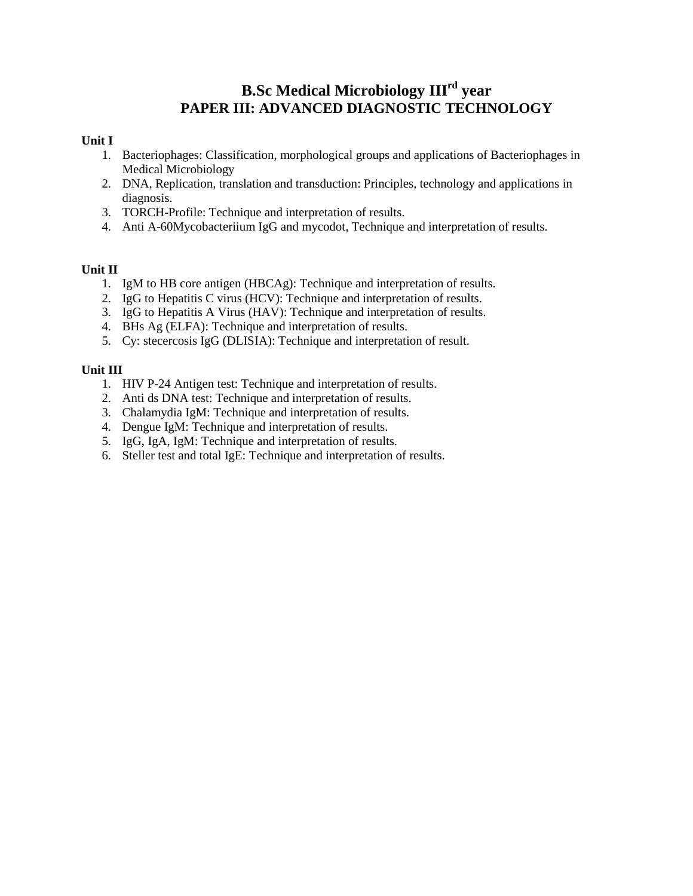# **B.Sc Medical Microbiology IIIrd year PAPER III: ADVANCED DIAGNOSTIC TECHNOLOGY**

#### **Unit I**

- 1. Bacteriophages: Classification, morphological groups and applications of Bacteriophages in Medical Microbiology
- 2. DNA, Replication, translation and transduction: Principles, technology and applications in diagnosis.
- 3. TORCH-Profile: Technique and interpretation of results.
- 4. Anti A-60Mycobacteriium IgG and mycodot, Technique and interpretation of results.

#### **Unit II**

- 1. IgM to HB core antigen (HBCAg): Technique and interpretation of results.
- 2. IgG to Hepatitis C virus (HCV): Technique and interpretation of results.
- 3. IgG to Hepatitis A Virus (HAV): Technique and interpretation of results.
- 4. BHs Ag (ELFA): Technique and interpretation of results.
- 5. Cy: stecercosis IgG (DLISIA): Technique and interpretation of result.

- 1. HIV P-24 Antigen test: Technique and interpretation of results.
- 2. Anti ds DNA test: Technique and interpretation of results.
- 3. Chalamydia IgM: Technique and interpretation of results.
- 4. Dengue IgM: Technique and interpretation of results.
- 5. IgG, IgA, IgM: Technique and interpretation of results.
- 6. Steller test and total IgE: Technique and interpretation of results.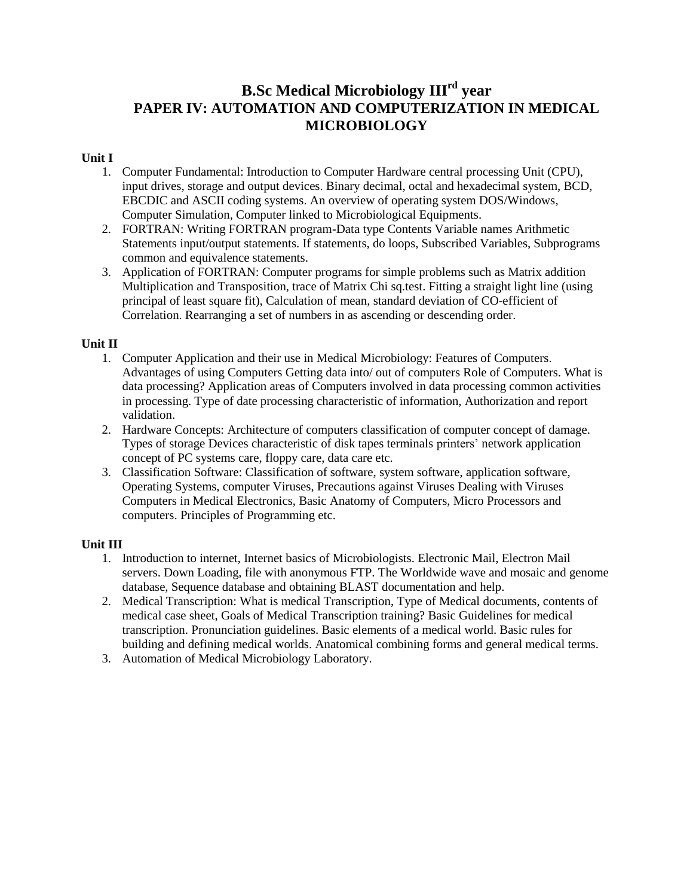# **B.Sc Medical Microbiology IIIrd year PAPER IV: AUTOMATION AND COMPUTERIZATION IN MEDICAL MICROBIOLOGY**

#### **Unit I**

- 1. Computer Fundamental: Introduction to Computer Hardware central processing Unit (CPU), input drives, storage and output devices. Binary decimal, octal and hexadecimal system, BCD, EBCDIC and ASCII coding systems. An overview of operating system DOS/Windows, Computer Simulation, Computer linked to Microbiological Equipments.
- 2. FORTRAN: Writing FORTRAN program-Data type Contents Variable names Arithmetic Statements input/output statements. If statements, do loops, Subscribed Variables, Subprograms common and equivalence statements.
- 3. Application of FORTRAN: Computer programs for simple problems such as Matrix addition Multiplication and Transposition, trace of Matrix Chi sq.test. Fitting a straight light line (using principal of least square fit), Calculation of mean, standard deviation of CO-efficient of Correlation. Rearranging a set of numbers in as ascending or descending order.

#### **Unit II**

- 1. Computer Application and their use in Medical Microbiology: Features of Computers. Advantages of using Computers Getting data into/ out of computers Role of Computers. What is data processing? Application areas of Computers involved in data processing common activities in processing. Type of date processing characteristic of information, Authorization and report validation.
- 2. Hardware Concepts: Architecture of computers classification of computer concept of damage. Types of storage Devices characteristic of disk tapes terminals printers' network application concept of PC systems care, floppy care, data care etc.
- 3. Classification Software: Classification of software, system software, application software, Operating Systems, computer Viruses, Precautions against Viruses Dealing with Viruses Computers in Medical Electronics, Basic Anatomy of Computers, Micro Processors and computers. Principles of Programming etc.

- 1. Introduction to internet, Internet basics of Microbiologists. Electronic Mail, Electron Mail servers. Down Loading, file with anonymous FTP. The Worldwide wave and mosaic and genome database, Sequence database and obtaining BLAST documentation and help.
- 2. Medical Transcription: What is medical Transcription, Type of Medical documents, contents of medical case sheet, Goals of Medical Transcription training? Basic Guidelines for medical transcription. Pronunciation guidelines. Basic elements of a medical world. Basic rules for building and defining medical worlds. Anatomical combining forms and general medical terms.
- 3. Automation of Medical Microbiology Laboratory.